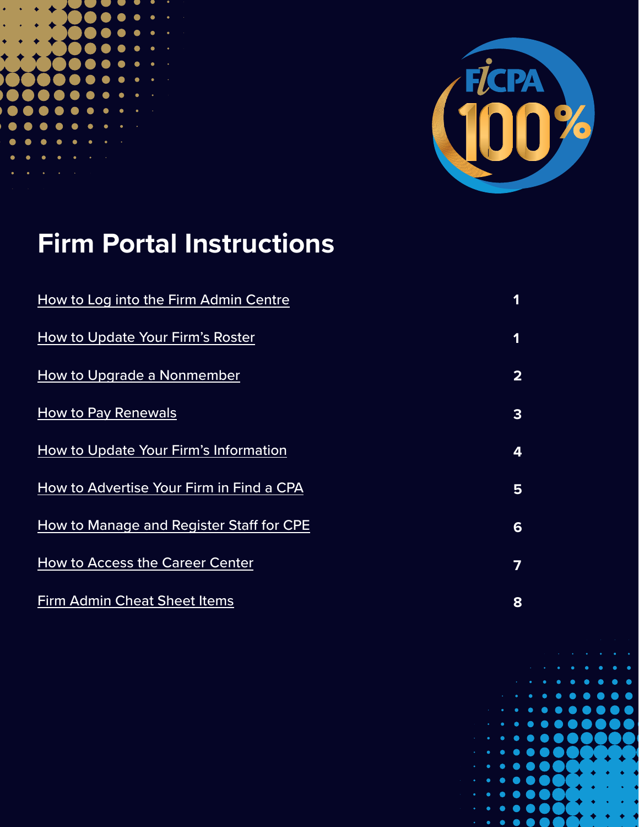



# **Firm Portal Instructions**

| How to Log into the Firm Admin Centre    | 1                       |
|------------------------------------------|-------------------------|
| How to Update Your Firm's Roster         | 1                       |
| How to Upgrade a Nonmember               | $\overline{\mathbf{2}}$ |
| <b>How to Pay Renewals</b>               | 3                       |
| How to Update Your Firm's Information    | 4                       |
| How to Advertise Your Firm in Find a CPA | 5                       |
| How to Manage and Register Staff for CPE | 6                       |
| <b>How to Access the Career Center</b>   | 7                       |
| <b>Firm Admin Cheat Sheet Items</b>      | 8                       |

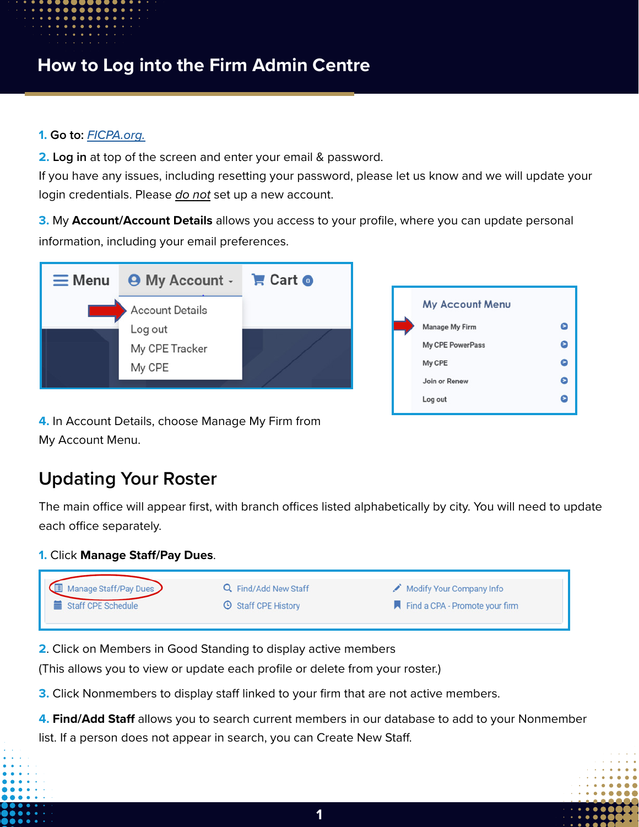## <span id="page-1-0"></span>**How to Log into the Firm Admin Centre**

#### **1. Go to:** *[FICPA.org.](http://www.ficpa.org)*

**2. Log in** at top of the screen and enter your email & password.

If you have any issues, including resetting your password, please let us know and we will update your login credentials. Please *do not* set up a new account.

**3.** My **Account/Account Details** allows you access to your profile, where you can update personal information, including your email preferences.



| <b>My Account Menu</b>  |   |
|-------------------------|---|
| Manage My Firm          | ε |
| <b>My CPE PowerPass</b> | Ξ |
| My CPE                  | Θ |
| Join or Renew           | Θ |
| Log out                 | E |
|                         |   |

**4.** In Account Details, choose Manage My Firm from My Account Menu.

## **Updating Your Roster**

The main office will appear first, with branch offices listed alphabetically by city. You will need to update each office separately.

#### **1.** Click **Manage Staff/Pay Dues**.



**2**. Click on Members in Good Standing to display active members

(This allows you to view or update each profile or delete from your roster.)

**3.** Click Nonmembers to display staff linked to your firm that are not active members.

**4. Find/Add Staff** allows you to search current members in our database to add to your Nonmember list. If a person does not appear in search, you can Create New Staff.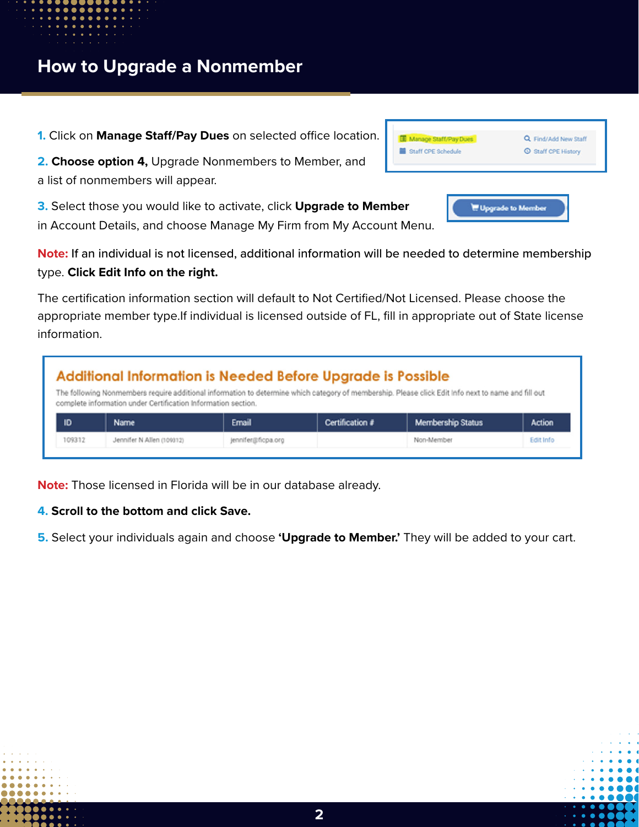<span id="page-2-0"></span>**1.** Click on **Manage Staff/Pay Dues** on selected office location.

**2. Choose option 4,** Upgrade Nonmembers to Member, and a list of nonmembers will appear.

**3.** Select those you would like to activate, click **Upgrade to Member** in Account Details, and choose Manage My Firm from My Account Menu.

**Note:** If an individual is not licensed, additional information will be needed to determine membership type. **Click Edit Info on the right.**

The certification information section will default to Not Certified/Not Licensed. Please choose the appropriate member type.If individual is licensed outside of FL, fill in appropriate out of State license information.

| Additional Information is Needed Before Upgrade is Possible<br>The following Nonmembers require additional information to determine which category of membership. Please click Edit Info next to name and fill out |                                                               |       |                 |                          |               |  |  |  |
|--------------------------------------------------------------------------------------------------------------------------------------------------------------------------------------------------------------------|---------------------------------------------------------------|-------|-----------------|--------------------------|---------------|--|--|--|
|                                                                                                                                                                                                                    | complete information under Certification Information section. |       |                 |                          |               |  |  |  |
|                                                                                                                                                                                                                    |                                                               |       |                 |                          |               |  |  |  |
|                                                                                                                                                                                                                    |                                                               |       |                 |                          | <b>Action</b> |  |  |  |
| ID                                                                                                                                                                                                                 | Name                                                          | Email | Certification # | <b>Membership Status</b> |               |  |  |  |

**Note:** Those licensed in Florida will be in our database already.

#### **4. Scroll to the bottom and click Save.**

**5.** Select your individuals again and choose **'Upgrade to Member.'** They will be added to your cart.



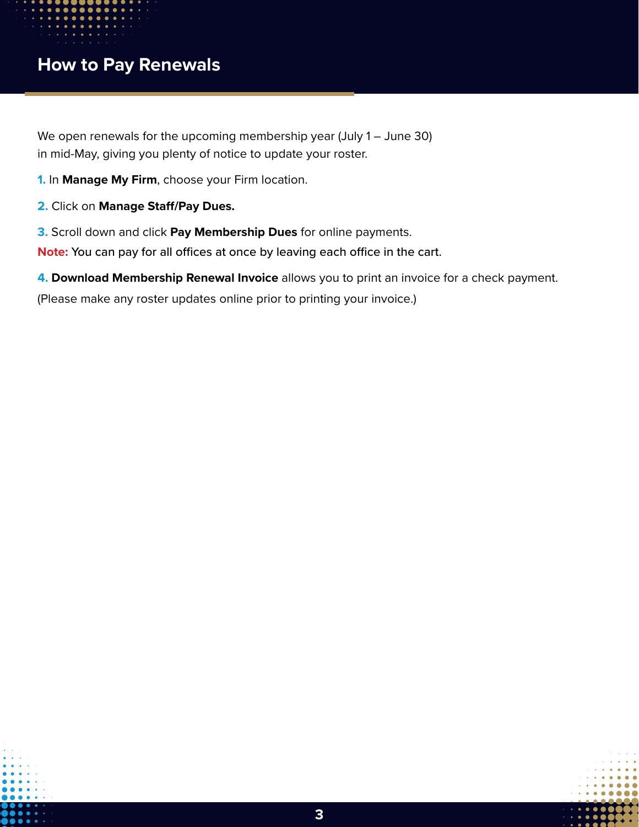## <span id="page-3-0"></span>**How to Pay Renewals**

We open renewals for the upcoming membership year (July 1 – June 30) in mid-May, giving you plenty of notice to update your roster.

- **1.** In **Manage My Firm**, choose your Firm location.
- **2.** Click on **Manage Staff/Pay Dues.**
- **3.** Scroll down and click **Pay Membership Dues** for online payments.
- **Note:** You can pay for all offices at once by leaving each office in the cart.
- **4. Download Membership Renewal Invoice** allows you to print an invoice for a check payment.

(Please make any roster updates online prior to printing your invoice.)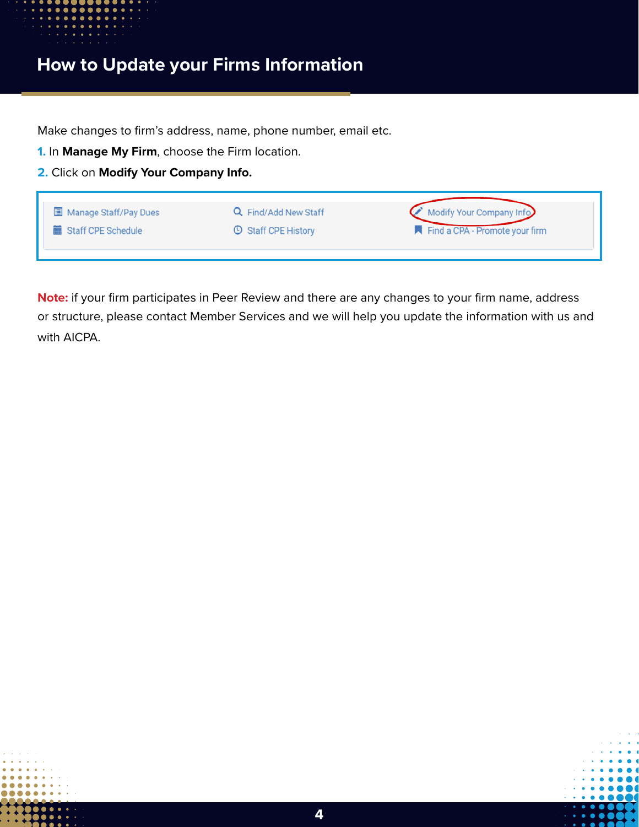<span id="page-4-0"></span>

## **How to Update your Firms Information**

Make changes to firm's address, name, phone number, email etc.

**1.** In **Manage My Firm**, choose the Firm location.

**2.** Click on **Modify Your Company Info.**

| Manage Staff/Pay Dues | Q Find/Add New Staff       | Modify Your Company Info       |
|-----------------------|----------------------------|--------------------------------|
| Staff CPE Schedule    | <b>C</b> Staff CPE History | Find a CPA - Promote your firm |
|                       |                            |                                |

**Note:** if your firm participates in Peer Review and there are any changes to your firm name, address or structure, please contact Member Services and we will help you update the information with us and with AICPA.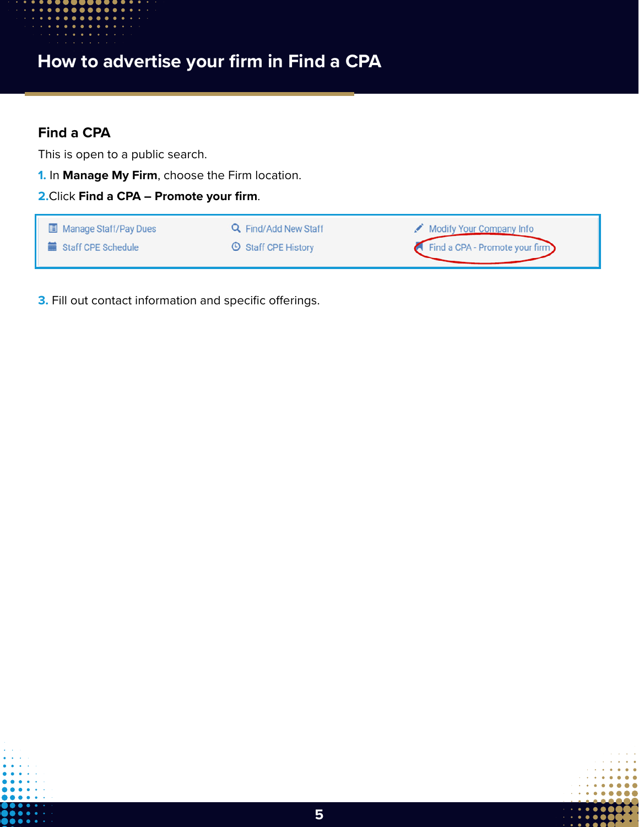<span id="page-5-0"></span>

## **How to advertise your firm in Find a CPA**

#### **Find a CPA**

This is open to a public search.

**1.** In **Manage My Firm**, choose the Firm location.

**2.**Click **Find a CPA – Promote your firm**.

| Manage Staff/Pay Dues | Q Find/Add New Staff       | Modify Your Company Info       |
|-----------------------|----------------------------|--------------------------------|
| Staff CPE Schedule    | <b>C</b> Staff CPE History | Find a CPA - Promote your firm |

**3.** Fill out contact information and specific offerings.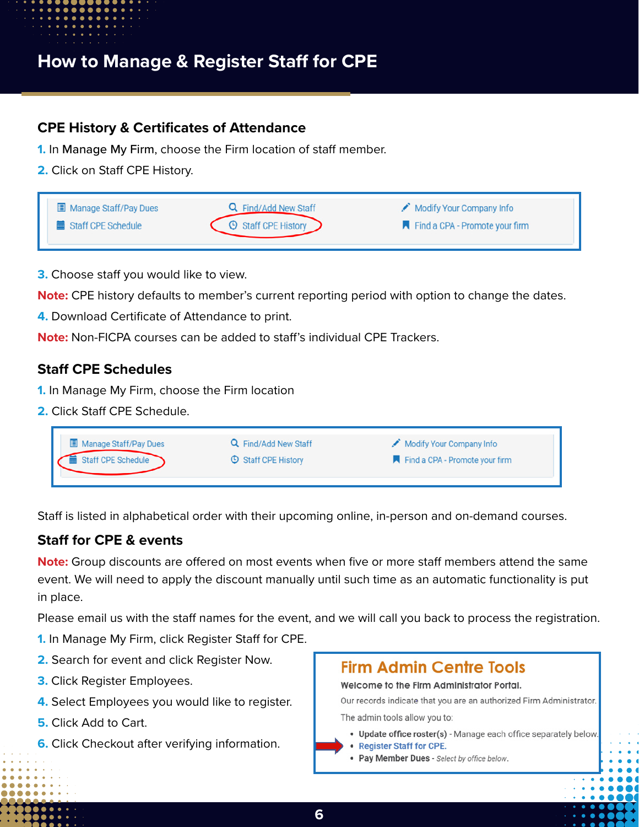<span id="page-6-0"></span>

## **How to Manage & Register Staff for CPE**

#### **CPE History & Certificates of Attendance**

- **1.** In Manage My Firm, choose the Firm location of staff member.
- **2.** Click on Staff CPE History.



- **3.** Choose staff you would like to view.
- **Note:** CPE history defaults to member's current reporting period with option to change the dates.
- **4.** Download Certificate of Attendance to print.
- **Note:** Non-FICPA courses can be added to staff's individual CPE Trackers.

#### **Staff CPE Schedules**

- **1.** In Manage My Firm, choose the Firm location
- **2.** Click Staff CPE Schedule.

| Manage Staff/Pay Dues | Q Find/Add New Staff       | Modify Your Company Info       |  |
|-----------------------|----------------------------|--------------------------------|--|
| Staff CPE Schedule    | <b>C</b> Staff CPE History | Find a CPA - Promote your firm |  |

Staff is listed in alphabetical order with their upcoming online, in-person and on-demand courses.

#### **Staff for CPE & events**

**Note:** Group discounts are offered on most events when five or more staff members attend the same event. We will need to apply the discount manually until such time as an automatic functionality is put in place.

Please email us with the staff names for the event, and we will call you back to process the registration.

- **1.** In Manage My Firm, click Register Staff for CPE.
- **2.** Search for event and click Register Now.
- **3.** Click Register Employees.
- **4.** Select Employees you would like to register.
- **5.** Click Add to Cart.
- **6.** Click Checkout after verifying information.

### **Firm Admin Centre Tools**

Welcome to the Firm Administrator Portal.

Our records indicate that you are an authorized Firm Administrator.

The admin tools allow you to:

- · Update office roster(s) Manage each office separately below.
- Register Staff for CPE.
- Pay Member Dues Select by office below.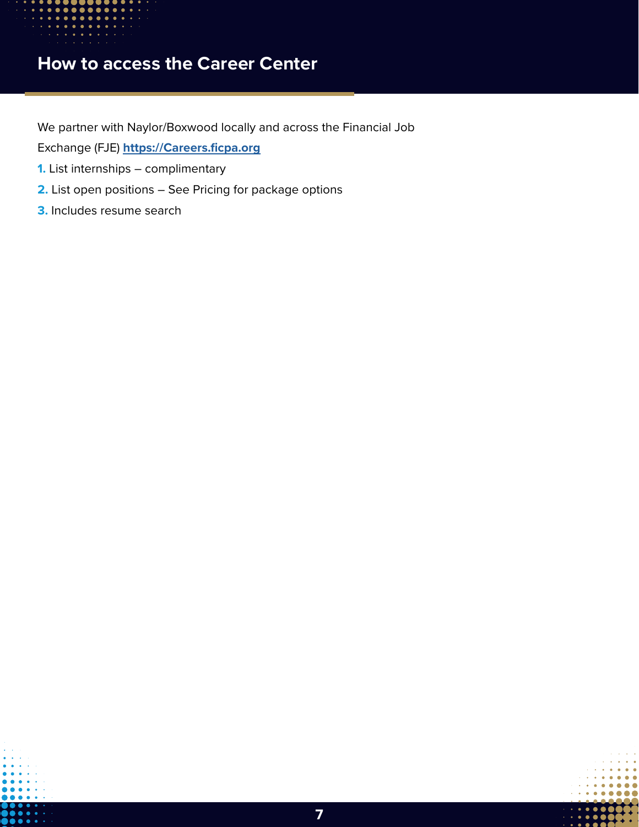<span id="page-7-0"></span>

## **How to access the Career Center**

We partner with Naylor/Boxwood locally and across the Financial Job

Exchange (FJE) **<https://Careers.ficpa.org>**

- **1.** List internships complimentary
- **2.** List open positions See Pricing for package options
- **3.** Includes resume search